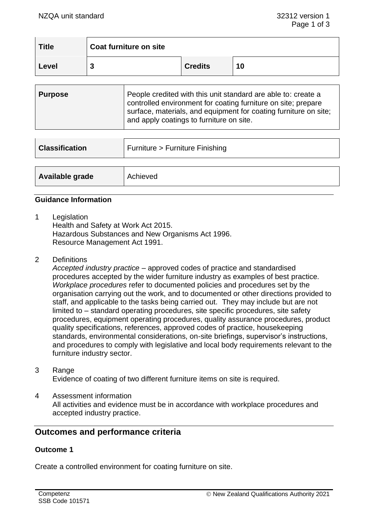| <b>Title</b> | Coat furniture on site |                |    |
|--------------|------------------------|----------------|----|
| Level        | n<br>υ                 | <b>Credits</b> | 10 |

| Purpose | People credited with this unit standard are able to: create a<br>controlled environment for coating furniture on site; prepare<br>surface, materials, and equipment for coating furniture on site;<br>and apply coatings to furniture on site. |
|---------|------------------------------------------------------------------------------------------------------------------------------------------------------------------------------------------------------------------------------------------------|
|         |                                                                                                                                                                                                                                                |

| <b>Classification</b> | Furniture > Furniture Finishing |  |
|-----------------------|---------------------------------|--|
|                       |                                 |  |
| Available grade       | Achieved                        |  |

## **Guidance Information**

1 Legislation

Health and Safety at Work Act 2015. Hazardous Substances and New Organisms Act 1996. Resource Management Act 1991.

2 Definitions

*Accepted industry practice* – approved codes of practice and standardised procedures accepted by the wider furniture industry as examples of best practice. *Workplace procedures* refer to documented policies and procedures set by the organisation carrying out the work, and to documented or other directions provided to staff, and applicable to the tasks being carried out. They may include but are not limited to – standard operating procedures, site specific procedures, site safety procedures, equipment operating procedures, quality assurance procedures, product quality specifications, references, approved codes of practice, housekeeping standards, environmental considerations, on-site briefings, supervisor's instructions, and procedures to comply with legislative and local body requirements relevant to the furniture industry sector.

3 Range

Evidence of coating of two different furniture items on site is required.

4 Assessment information All activities and evidence must be in accordance with workplace procedures and accepted industry practice.

# **Outcomes and performance criteria**

## **Outcome 1**

Create a controlled environment for coating furniture on site.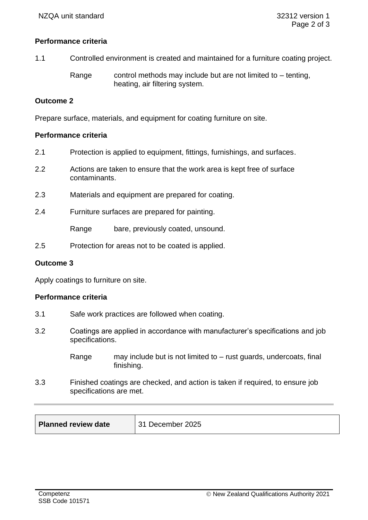## **Performance criteria**

1.1 Controlled environment is created and maintained for a furniture coating project.

Range control methods may include but are not limited to  $-$  tenting, heating, air filtering system.

### **Outcome 2**

Prepare surface, materials, and equipment for coating furniture on site.

### **Performance criteria**

- 2.1 Protection is applied to equipment, fittings, furnishings, and surfaces.
- 2.2 Actions are taken to ensure that the work area is kept free of surface contaminants.
- 2.3 Materials and equipment are prepared for coating.
- 2.4 Furniture surfaces are prepared for painting.

Range bare, previously coated, unsound.

2.5 Protection for areas not to be coated is applied.

#### **Outcome 3**

Apply coatings to furniture on site.

#### **Performance criteria**

- 3.1 Safe work practices are followed when coating.
- 3.2 Coatings are applied in accordance with manufacturer's specifications and job specifications.
	- Range may include but is not limited to rust guards, undercoats, final finishing.
- 3.3 Finished coatings are checked, and action is taken if required, to ensure job specifications are met.

| <b>Planned review date</b> | 31 December 2025 |
|----------------------------|------------------|
|----------------------------|------------------|